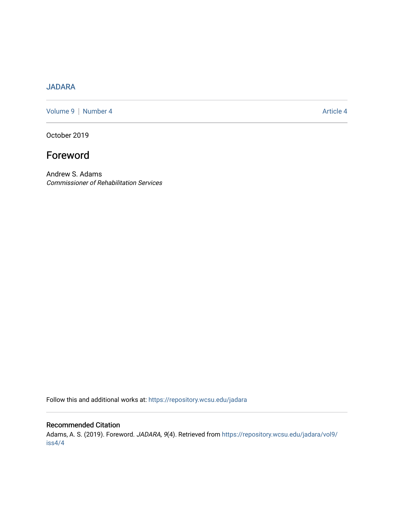## [JADARA](https://repository.wcsu.edu/jadara)

[Volume 9](https://repository.wcsu.edu/jadara/vol9) | [Number 4](https://repository.wcsu.edu/jadara/vol9/iss4) Article 4

October 2019

## Foreword

Andrew S. Adams Commissioner of Rehabilitation Services

Follow this and additional works at: [https://repository.wcsu.edu/jadara](https://repository.wcsu.edu/jadara?utm_source=repository.wcsu.edu%2Fjadara%2Fvol9%2Fiss4%2F4&utm_medium=PDF&utm_campaign=PDFCoverPages)

## Recommended Citation

Adams, A. S. (2019). Foreword. JADARA, 9(4). Retrieved from [https://repository.wcsu.edu/jadara/vol9/](https://repository.wcsu.edu/jadara/vol9/iss4/4?utm_source=repository.wcsu.edu%2Fjadara%2Fvol9%2Fiss4%2F4&utm_medium=PDF&utm_campaign=PDFCoverPages) [iss4/4](https://repository.wcsu.edu/jadara/vol9/iss4/4?utm_source=repository.wcsu.edu%2Fjadara%2Fvol9%2Fiss4%2F4&utm_medium=PDF&utm_campaign=PDFCoverPages)